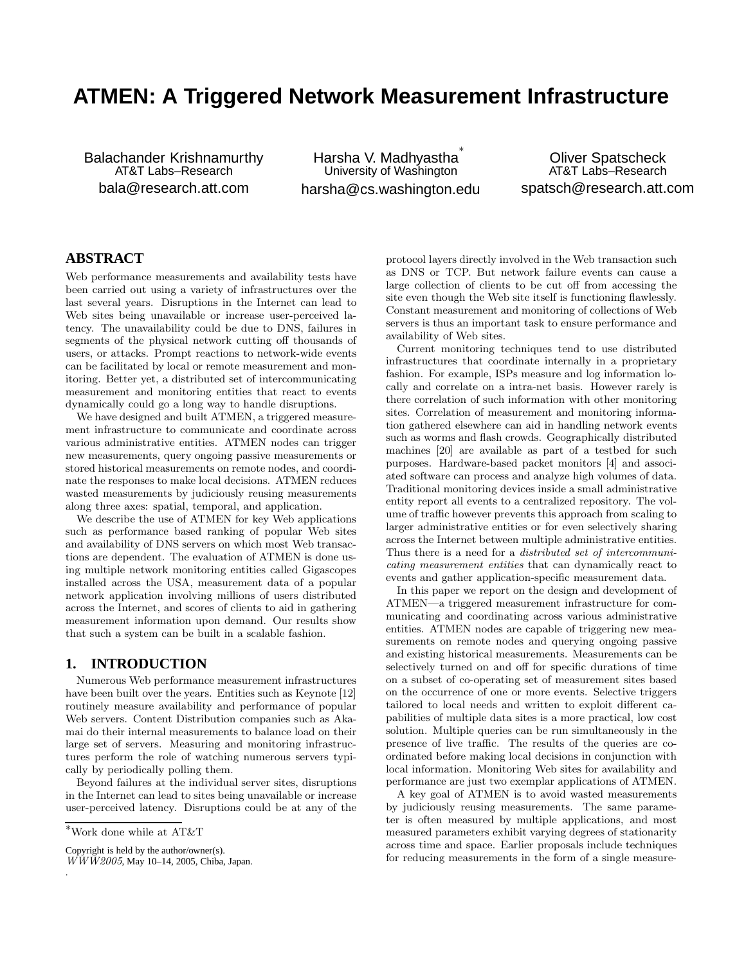# **ATMEN: A Triggered Network Measurement Infrastructure**

Balachander Krishnamurthy AT&T Labs–Research bala@research.att.com

Harsha V. Madhyastha ∗ University of Washington harsha@cs.washington.edu

Oliver Spatscheck AT&T Labs–Research spatsch@research.att.com

# **ABSTRACT**

Web performance measurements and availability tests have been carried out using a variety of infrastructures over the last several years. Disruptions in the Internet can lead to Web sites being unavailable or increase user-perceived latency. The unavailability could be due to DNS, failures in segments of the physical network cutting off thousands of users, or attacks. Prompt reactions to network-wide events can be facilitated by local or remote measurement and monitoring. Better yet, a distributed set of intercommunicating measurement and monitoring entities that react to events dynamically could go a long way to handle disruptions.

We have designed and built ATMEN, a triggered measurement infrastructure to communicate and coordinate across various administrative entities. ATMEN nodes can trigger new measurements, query ongoing passive measurements or stored historical measurements on remote nodes, and coordinate the responses to make local decisions. ATMEN reduces wasted measurements by judiciously reusing measurements along three axes: spatial, temporal, and application.

We describe the use of ATMEN for key Web applications such as performance based ranking of popular Web sites and availability of DNS servers on which most Web transactions are dependent. The evaluation of ATMEN is done using multiple network monitoring entities called Gigascopes installed across the USA, measurement data of a popular network application involving millions of users distributed across the Internet, and scores of clients to aid in gathering measurement information upon demand. Our results show that such a system can be built in a scalable fashion.

# **1. INTRODUCTION**

Numerous Web performance measurement infrastructures have been built over the years. Entities such as Keynote [12] routinely measure availability and performance of popular Web servers. Content Distribution companies such as Akamai do their internal measurements to balance load on their large set of servers. Measuring and monitoring infrastructures perform the role of watching numerous servers typically by periodically polling them.

Beyond failures at the individual server sites, disruptions in the Internet can lead to sites being unavailable or increase user-perceived latency. Disruptions could be at any of the

.

Copyright is held by the author/owner(s).

protocol layers directly involved in the Web transaction such as DNS or TCP. But network failure events can cause a large collection of clients to be cut off from accessing the site even though the Web site itself is functioning flawlessly. Constant measurement and monitoring of collections of Web servers is thus an important task to ensure performance and availability of Web sites.

Current monitoring techniques tend to use distributed infrastructures that coordinate internally in a proprietary fashion. For example, ISPs measure and log information locally and correlate on a intra-net basis. However rarely is there correlation of such information with other monitoring sites. Correlation of measurement and monitoring information gathered elsewhere can aid in handling network events such as worms and flash crowds. Geographically distributed machines [20] are available as part of a testbed for such purposes. Hardware-based packet monitors [4] and associated software can process and analyze high volumes of data. Traditional monitoring devices inside a small administrative entity report all events to a centralized repository. The volume of traffic however prevents this approach from scaling to larger administrative entities or for even selectively sharing across the Internet between multiple administrative entities. Thus there is a need for a distributed set of intercommunicating measurement entities that can dynamically react to events and gather application-specific measurement data.

In this paper we report on the design and development of ATMEN—a triggered measurement infrastructure for communicating and coordinating across various administrative entities. ATMEN nodes are capable of triggering new measurements on remote nodes and querying ongoing passive and existing historical measurements. Measurements can be selectively turned on and off for specific durations of time on a subset of co-operating set of measurement sites based on the occurrence of one or more events. Selective triggers tailored to local needs and written to exploit different capabilities of multiple data sites is a more practical, low cost solution. Multiple queries can be run simultaneously in the presence of live traffic. The results of the queries are coordinated before making local decisions in conjunction with local information. Monitoring Web sites for availability and performance are just two exemplar applications of ATMEN.

A key goal of ATMEN is to avoid wasted measurements by judiciously reusing measurements. The same parameter is often measured by multiple applications, and most measured parameters exhibit varying degrees of stationarity across time and space. Earlier proposals include techniques for reducing measurements in the form of a single measure-

 $^*$  Work done while at  $\mathrm{AT}\&\mathrm{T}$ 

 $\overline{WWW2005}$ , May 10–14, 2005, Chiba, Japan.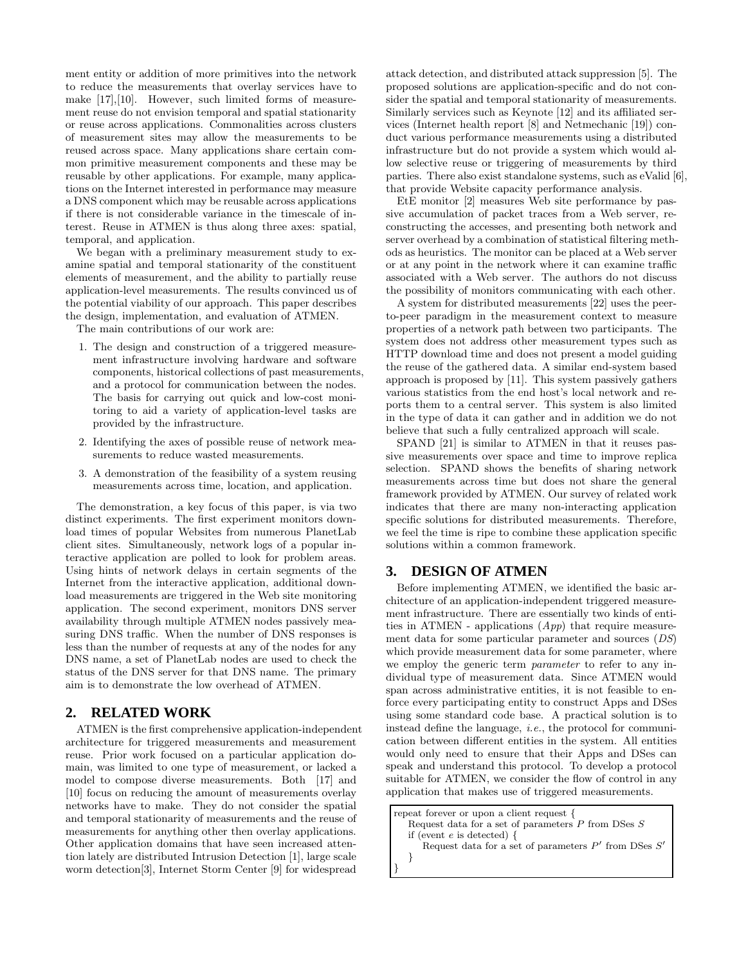ment entity or addition of more primitives into the network to reduce the measurements that overlay services have to make [17],[10]. However, such limited forms of measurement reuse do not envision temporal and spatial stationarity or reuse across applications. Commonalities across clusters of measurement sites may allow the measurements to be reused across space. Many applications share certain common primitive measurement components and these may be reusable by other applications. For example, many applications on the Internet interested in performance may measure a DNS component which may be reusable across applications if there is not considerable variance in the timescale of interest. Reuse in ATMEN is thus along three axes: spatial, temporal, and application.

We began with a preliminary measurement study to examine spatial and temporal stationarity of the constituent elements of measurement, and the ability to partially reuse application-level measurements. The results convinced us of the potential viability of our approach. This paper describes the design, implementation, and evaluation of ATMEN.

The main contributions of our work are:

- 1. The design and construction of a triggered measurement infrastructure involving hardware and software components, historical collections of past measurements, and a protocol for communication between the nodes. The basis for carrying out quick and low-cost monitoring to aid a variety of application-level tasks are provided by the infrastructure.
- 2. Identifying the axes of possible reuse of network measurements to reduce wasted measurements.
- 3. A demonstration of the feasibility of a system reusing measurements across time, location, and application.

The demonstration, a key focus of this paper, is via two distinct experiments. The first experiment monitors download times of popular Websites from numerous PlanetLab client sites. Simultaneously, network logs of a popular interactive application are polled to look for problem areas. Using hints of network delays in certain segments of the Internet from the interactive application, additional download measurements are triggered in the Web site monitoring application. The second experiment, monitors DNS server availability through multiple ATMEN nodes passively measuring DNS traffic. When the number of DNS responses is less than the number of requests at any of the nodes for any DNS name, a set of PlanetLab nodes are used to check the status of the DNS server for that DNS name. The primary aim is to demonstrate the low overhead of ATMEN.

# **2. RELATED WORK**

ATMEN is the first comprehensive application-independent architecture for triggered measurements and measurement reuse. Prior work focused on a particular application domain, was limited to one type of measurement, or lacked a model to compose diverse measurements. Both [17] and [10] focus on reducing the amount of measurements overlay networks have to make. They do not consider the spatial and temporal stationarity of measurements and the reuse of measurements for anything other then overlay applications. Other application domains that have seen increased attention lately are distributed Intrusion Detection [1], large scale worm detection[3], Internet Storm Center [9] for widespread

attack detection, and distributed attack suppression [5]. The proposed solutions are application-specific and do not consider the spatial and temporal stationarity of measurements. Similarly services such as Keynote [12] and its affiliated services (Internet health report [8] and Netmechanic [19]) conduct various performance measurements using a distributed infrastructure but do not provide a system which would allow selective reuse or triggering of measurements by third parties. There also exist standalone systems, such as eValid [6], that provide Website capacity performance analysis.

EtE monitor [2] measures Web site performance by passive accumulation of packet traces from a Web server, reconstructing the accesses, and presenting both network and server overhead by a combination of statistical filtering methods as heuristics. The monitor can be placed at a Web server or at any point in the network where it can examine traffic associated with a Web server. The authors do not discuss the possibility of monitors communicating with each other.

A system for distributed measurements [22] uses the peerto-peer paradigm in the measurement context to measure properties of a network path between two participants. The system does not address other measurement types such as HTTP download time and does not present a model guiding the reuse of the gathered data. A similar end-system based approach is proposed by [11]. This system passively gathers various statistics from the end host's local network and reports them to a central server. This system is also limited in the type of data it can gather and in addition we do not believe that such a fully centralized approach will scale.

SPAND [21] is similar to ATMEN in that it reuses passive measurements over space and time to improve replica selection. SPAND shows the benefits of sharing network measurements across time but does not share the general framework provided by ATMEN. Our survey of related work indicates that there are many non-interacting application specific solutions for distributed measurements. Therefore, we feel the time is ripe to combine these application specific solutions within a common framework.

## **3. DESIGN OF ATMEN**

Before implementing ATMEN, we identified the basic architecture of an application-independent triggered measurement infrastructure. There are essentially two kinds of entities in ATMEN - applications  $(App)$  that require measurement data for some particular parameter and sources (DS) which provide measurement data for some parameter, where we employ the generic term parameter to refer to any individual type of measurement data. Since ATMEN would span across administrative entities, it is not feasible to enforce every participating entity to construct Apps and DSes using some standard code base. A practical solution is to instead define the language, i.e., the protocol for communication between different entities in the system. All entities would only need to ensure that their Apps and DSes can speak and understand this protocol. To develop a protocol suitable for ATMEN, we consider the flow of control in any application that makes use of triggered measurements.

```
repeat forever or upon a client request {
   Request data for a set of parameters \overset{\text{\rm c}}{P} from DSes Sif (event e is detected) {
       Request data for a set of parameters P' from DSes S'}
}
```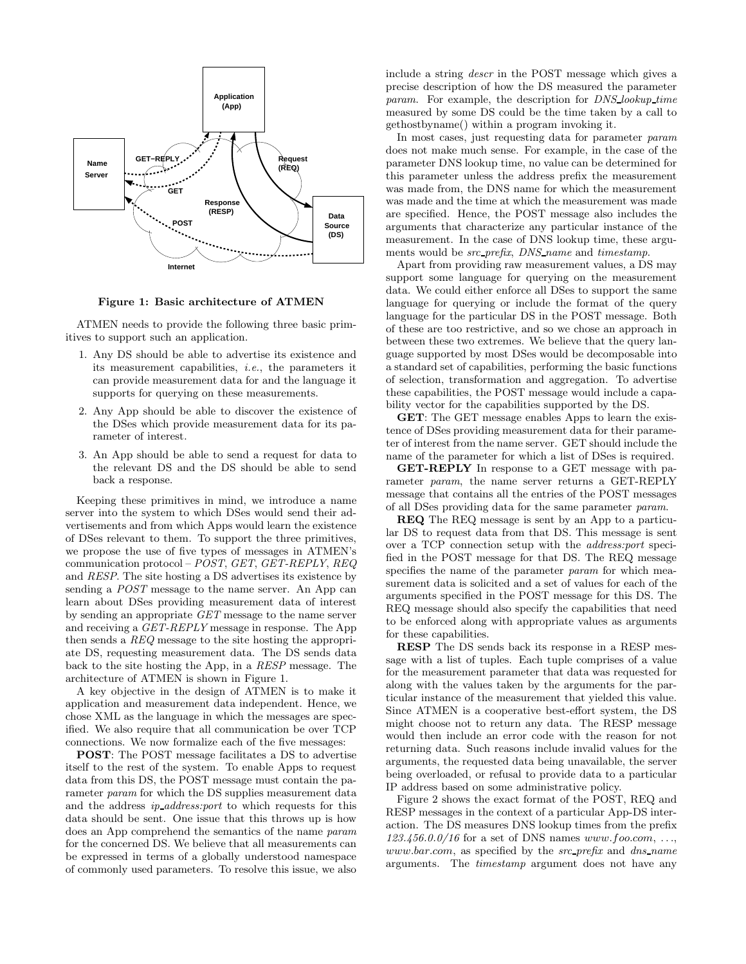

Figure 1: Basic architecture of ATMEN

ATMEN needs to provide the following three basic primitives to support such an application.

- 1. Any DS should be able to advertise its existence and its measurement capabilities, i.e., the parameters it can provide measurement data for and the language it supports for querying on these measurements.
- 2. Any App should be able to discover the existence of the DSes which provide measurement data for its parameter of interest.
- 3. An App should be able to send a request for data to the relevant DS and the DS should be able to send back a response.

Keeping these primitives in mind, we introduce a name server into the system to which DSes would send their advertisements and from which Apps would learn the existence of DSes relevant to them. To support the three primitives, we propose the use of five types of messages in ATMEN's communication protocol – POST, GET, GET-REPLY, REQ and RESP. The site hosting a DS advertises its existence by sending a POST message to the name server. An App can learn about DSes providing measurement data of interest by sending an appropriate GET message to the name server and receiving a GET-REPLY message in response. The App then sends a REQ message to the site hosting the appropriate DS, requesting measurement data. The DS sends data back to the site hosting the App, in a RESP message. The architecture of ATMEN is shown in Figure 1.

A key objective in the design of ATMEN is to make it application and measurement data independent. Hence, we chose XML as the language in which the messages are specified. We also require that all communication be over TCP connections. We now formalize each of the five messages:

POST: The POST message facilitates a DS to advertise itself to the rest of the system. To enable Apps to request data from this DS, the POST message must contain the parameter *param* for which the DS supplies measurement data and the address ip address:port to which requests for this data should be sent. One issue that this throws up is how does an App comprehend the semantics of the name param for the concerned DS. We believe that all measurements can be expressed in terms of a globally understood namespace of commonly used parameters. To resolve this issue, we also include a string descr in the POST message which gives a precise description of how the DS measured the parameter param. For example, the description for DNS lookup time measured by some DS could be the time taken by a call to gethostbyname() within a program invoking it.

In most cases, just requesting data for parameter param does not make much sense. For example, in the case of the parameter DNS lookup time, no value can be determined for this parameter unless the address prefix the measurement was made from, the DNS name for which the measurement was made and the time at which the measurement was made are specified. Hence, the POST message also includes the arguments that characterize any particular instance of the measurement. In the case of DNS lookup time, these arguments would be *src\_prefix*, *DNS\_name* and *timestamp*.

Apart from providing raw measurement values, a DS may support some language for querying on the measurement data. We could either enforce all DSes to support the same language for querying or include the format of the query language for the particular DS in the POST message. Both of these are too restrictive, and so we chose an approach in between these two extremes. We believe that the query language supported by most DSes would be decomposable into a standard set of capabilities, performing the basic functions of selection, transformation and aggregation. To advertise these capabilities, the POST message would include a capability vector for the capabilities supported by the DS.

GET: The GET message enables Apps to learn the existence of DSes providing measurement data for their parameter of interest from the name server. GET should include the name of the parameter for which a list of DSes is required.

GET-REPLY In response to a GET message with parameter param, the name server returns a GET-REPLY message that contains all the entries of the POST messages of all DSes providing data for the same parameter param.

REQ The REQ message is sent by an App to a particular DS to request data from that DS. This message is sent over a TCP connection setup with the address:port specified in the POST message for that DS. The REQ message specifies the name of the parameter *param* for which measurement data is solicited and a set of values for each of the arguments specified in the POST message for this DS. The REQ message should also specify the capabilities that need to be enforced along with appropriate values as arguments for these capabilities.

RESP The DS sends back its response in a RESP message with a list of tuples. Each tuple comprises of a value for the measurement parameter that data was requested for along with the values taken by the arguments for the particular instance of the measurement that yielded this value. Since ATMEN is a cooperative best-effort system, the DS might choose not to return any data. The RESP message would then include an error code with the reason for not returning data. Such reasons include invalid values for the arguments, the requested data being unavailable, the server being overloaded, or refusal to provide data to a particular IP address based on some administrative policy.

Figure 2 shows the exact format of the POST, REQ and RESP messages in the context of a particular App-DS interaction. The DS measures DNS lookup times from the prefix  $123.456.0.0/16$  for a set of DNS names www.foo.com, ..., www.bar.com, as specified by the src\_prefix and dns\_name arguments. The timestamp argument does not have any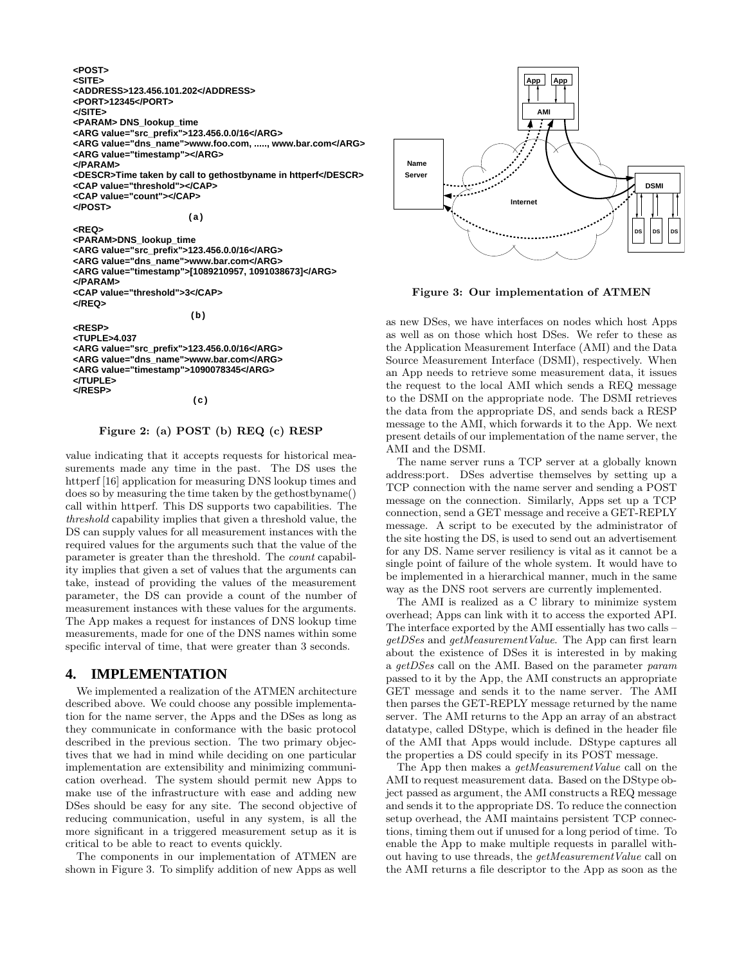**<REQ> <PARAM>DNS\_lookup\_time <ARG value="src\_prefix">123.456.0.0/16</ARG> <ARG value="dns\_name">www.bar.com</ARG> </PARAM> <CAP value="threshold">3</CAP> <ARG value="timestamp">[1089210957, 1091038673]</ARG> </REQ> <ARG value="timestamp"></ARG> </PARAM> <CAP value="threshold"></CAP> <CAP value="count"></CAP> </POST> <ARG value="dns\_name">www.foo.com, ....., www.bar.com</ARG> <DESCR>Time taken by call to gethostbyname in httperf</DESCR> <POST> <SITE> <PORT>12345</PORT> </SITE> <PARAM> DNS\_lookup\_time <ARG value="src\_prefix">123.456.0.0/16</ARG> <ADDRESS>123.456.101.202</ADDRESS> (a)**

**<RESP> <TUPLE>4.037 <ARG value="src\_prefix">123.456.0.0/16</ARG> <ARG value="dns\_name">www.bar.com</ARG> <ARG value="timestamp">1090078345</ARG> </TUPLE> </RESP>**

**(c)**

**(b)**

#### Figure 2: (a) POST (b) REQ (c) RESP

value indicating that it accepts requests for historical measurements made any time in the past. The DS uses the httperf [16] application for measuring DNS lookup times and does so by measuring the time taken by the gethostbyname() call within httperf. This DS supports two capabilities. The threshold capability implies that given a threshold value, the DS can supply values for all measurement instances with the required values for the arguments such that the value of the parameter is greater than the threshold. The count capability implies that given a set of values that the arguments can take, instead of providing the values of the measurement parameter, the DS can provide a count of the number of measurement instances with these values for the arguments. The App makes a request for instances of DNS lookup time measurements, made for one of the DNS names within some specific interval of time, that were greater than 3 seconds.

#### **4. IMPLEMENTATION**

We implemented a realization of the ATMEN architecture described above. We could choose any possible implementation for the name server, the Apps and the DSes as long as they communicate in conformance with the basic protocol described in the previous section. The two primary objectives that we had in mind while deciding on one particular implementation are extensibility and minimizing communication overhead. The system should permit new Apps to make use of the infrastructure with ease and adding new DSes should be easy for any site. The second objective of reducing communication, useful in any system, is all the more significant in a triggered measurement setup as it is critical to be able to react to events quickly.

The components in our implementation of ATMEN are shown in Figure 3. To simplify addition of new Apps as well



Figure 3: Our implementation of ATMEN

as new DSes, we have interfaces on nodes which host Apps as well as on those which host DSes. We refer to these as the Application Measurement Interface (AMI) and the Data Source Measurement Interface (DSMI), respectively. When an App needs to retrieve some measurement data, it issues the request to the local AMI which sends a REQ message to the DSMI on the appropriate node. The DSMI retrieves the data from the appropriate DS, and sends back a RESP message to the AMI, which forwards it to the App. We next present details of our implementation of the name server, the AMI and the DSMI.

The name server runs a TCP server at a globally known address:port. DSes advertise themselves by setting up a TCP connection with the name server and sending a POST message on the connection. Similarly, Apps set up a TCP connection, send a GET message and receive a GET-REPLY message. A script to be executed by the administrator of the site hosting the DS, is used to send out an advertisement for any DS. Name server resiliency is vital as it cannot be a single point of failure of the whole system. It would have to be implemented in a hierarchical manner, much in the same way as the DNS root servers are currently implemented.

The AMI is realized as a C library to minimize system overhead; Apps can link with it to access the exported API. The interface exported by the AMI essentially has two calls – getDSes and getMeasurementValue. The App can first learn about the existence of DSes it is interested in by making a getDSes call on the AMI. Based on the parameter param passed to it by the App, the AMI constructs an appropriate GET message and sends it to the name server. The AMI then parses the GET-REPLY message returned by the name server. The AMI returns to the App an array of an abstract datatype, called DStype, which is defined in the header file of the AMI that Apps would include. DStype captures all the properties a DS could specify in its POST message.

The App then makes a *getMeasurementValue* call on the AMI to request measurement data. Based on the DStype object passed as argument, the AMI constructs a REQ message and sends it to the appropriate DS. To reduce the connection setup overhead, the AMI maintains persistent TCP connections, timing them out if unused for a long period of time. To enable the App to make multiple requests in parallel without having to use threads, the *getMeasurementValue* call on the AMI returns a file descriptor to the App as soon as the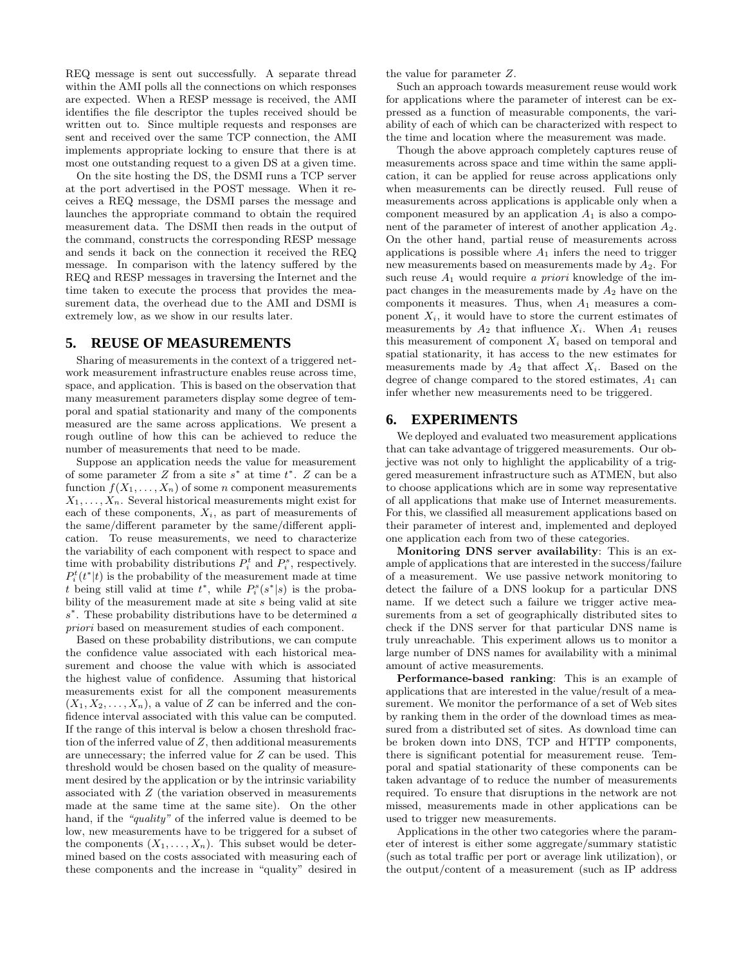REQ message is sent out successfully. A separate thread within the AMI polls all the connections on which responses are expected. When a RESP message is received, the AMI identifies the file descriptor the tuples received should be written out to. Since multiple requests and responses are sent and received over the same TCP connection, the AMI implements appropriate locking to ensure that there is at most one outstanding request to a given DS at a given time.

On the site hosting the DS, the DSMI runs a TCP server at the port advertised in the POST message. When it receives a REQ message, the DSMI parses the message and launches the appropriate command to obtain the required measurement data. The DSMI then reads in the output of the command, constructs the corresponding RESP message and sends it back on the connection it received the REQ message. In comparison with the latency suffered by the REQ and RESP messages in traversing the Internet and the time taken to execute the process that provides the measurement data, the overhead due to the AMI and DSMI is extremely low, as we show in our results later.

## **5. REUSE OF MEASUREMENTS**

Sharing of measurements in the context of a triggered network measurement infrastructure enables reuse across time, space, and application. This is based on the observation that many measurement parameters display some degree of temporal and spatial stationarity and many of the components measured are the same across applications. We present a rough outline of how this can be achieved to reduce the number of measurements that need to be made.

Suppose an application needs the value for measurement of some parameter  $Z$  from a site  $s^*$  at time  $t^*$ .  $Z$  can be a function  $f(X_1, \ldots, X_n)$  of some n component measurements  $X_1, \ldots, X_n$ . Several historical measurements might exist for each of these components,  $X_i$ , as part of measurements of the same/different parameter by the same/different application. To reuse measurements, we need to characterize the variability of each component with respect to space and time with probability distributions  $P_i^t$  and  $P_i^s$ , respectively.  $P_i^t(t^*|t)$  is the probability of the measurement made at time t being still valid at time  $t^*$ , while  $P_i^s(s^*|s)$  is the probability of the measurement made at site  $s$  being valid at site  $s^*$ . These probability distributions have to be determined a priori based on measurement studies of each component.

Based on these probability distributions, we can compute the confidence value associated with each historical measurement and choose the value with which is associated the highest value of confidence. Assuming that historical measurements exist for all the component measurements  $(X_1, X_2, \ldots, X_n)$ , a value of Z can be inferred and the confidence interval associated with this value can be computed. If the range of this interval is below a chosen threshold fraction of the inferred value of  $Z$ , then additional measurements are unnecessary; the inferred value for  $Z$  can be used. This threshold would be chosen based on the quality of measurement desired by the application or by the intrinsic variability associated with Z (the variation observed in measurements made at the same time at the same site). On the other hand, if the "quality" of the inferred value is deemed to be low, new measurements have to be triggered for a subset of the components  $(X_1, \ldots, X_n)$ . This subset would be determined based on the costs associated with measuring each of these components and the increase in "quality" desired in

the value for parameter Z.

Such an approach towards measurement reuse would work for applications where the parameter of interest can be expressed as a function of measurable components, the variability of each of which can be characterized with respect to the time and location where the measurement was made.

Though the above approach completely captures reuse of measurements across space and time within the same application, it can be applied for reuse across applications only when measurements can be directly reused. Full reuse of measurements across applications is applicable only when a component measured by an application  $A_1$  is also a component of the parameter of interest of another application A2. On the other hand, partial reuse of measurements across applications is possible where  $A_1$  infers the need to trigger new measurements based on measurements made by  $A_2$ . For such reuse  $A_1$  would require a priori knowledge of the impact changes in the measurements made by  $A_2$  have on the components it measures. Thus, when  $A_1$  measures a component  $X_i$ , it would have to store the current estimates of measurements by  $A_2$  that influence  $X_i$ . When  $A_1$  reuses this measurement of component  $X_i$  based on temporal and spatial stationarity, it has access to the new estimates for measurements made by  $A_2$  that affect  $X_i$ . Based on the degree of change compared to the stored estimates,  $A_1$  can infer whether new measurements need to be triggered.

# **6. EXPERIMENTS**

We deployed and evaluated two measurement applications that can take advantage of triggered measurements. Our objective was not only to highlight the applicability of a triggered measurement infrastructure such as ATMEN, but also to choose applications which are in some way representative of all applications that make use of Internet measurements. For this, we classified all measurement applications based on their parameter of interest and, implemented and deployed one application each from two of these categories.

Monitoring DNS server availability: This is an example of applications that are interested in the success/failure of a measurement. We use passive network monitoring to detect the failure of a DNS lookup for a particular DNS name. If we detect such a failure we trigger active measurements from a set of geographically distributed sites to check if the DNS server for that particular DNS name is truly unreachable. This experiment allows us to monitor a large number of DNS names for availability with a minimal amount of active measurements.

Performance-based ranking: This is an example of applications that are interested in the value/result of a measurement. We monitor the performance of a set of Web sites by ranking them in the order of the download times as measured from a distributed set of sites. As download time can be broken down into DNS, TCP and HTTP components, there is significant potential for measurement reuse. Temporal and spatial stationarity of these components can be taken advantage of to reduce the number of measurements required. To ensure that disruptions in the network are not missed, measurements made in other applications can be used to trigger new measurements.

Applications in the other two categories where the parameter of interest is either some aggregate/summary statistic (such as total traffic per port or average link utilization), or the output/content of a measurement (such as IP address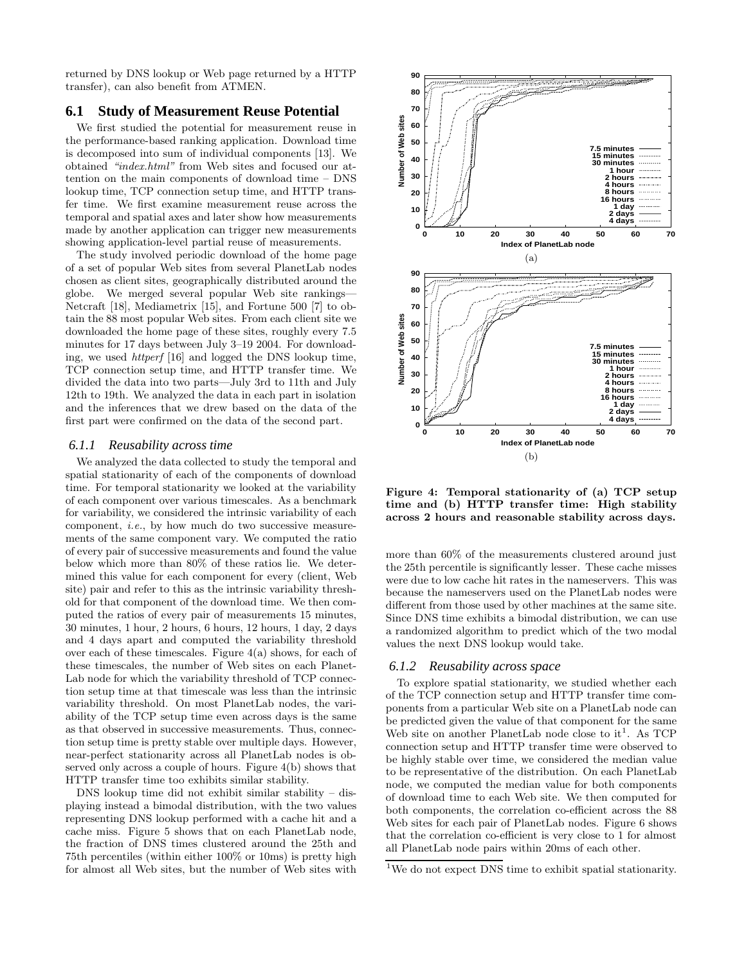returned by DNS lookup or Web page returned by a HTTP transfer), can also benefit from ATMEN.

#### **6.1 Study of Measurement Reuse Potential**

We first studied the potential for measurement reuse in the performance-based ranking application. Download time is decomposed into sum of individual components [13]. We obtained "index.html" from Web sites and focused our attention on the main components of download time – DNS lookup time, TCP connection setup time, and HTTP transfer time. We first examine measurement reuse across the temporal and spatial axes and later show how measurements made by another application can trigger new measurements showing application-level partial reuse of measurements.

The study involved periodic download of the home page of a set of popular Web sites from several PlanetLab nodes chosen as client sites, geographically distributed around the globe. We merged several popular Web site rankings— Netcraft [18], Mediametrix [15], and Fortune 500 [7] to obtain the 88 most popular Web sites. From each client site we downloaded the home page of these sites, roughly every 7.5 minutes for 17 days between July 3–19 2004. For downloading, we used httperf [16] and logged the DNS lookup time, TCP connection setup time, and HTTP transfer time. We divided the data into two parts—July 3rd to 11th and July 12th to 19th. We analyzed the data in each part in isolation and the inferences that we drew based on the data of the first part were confirmed on the data of the second part.

#### *6.1.1 Reusability across time*

We analyzed the data collected to study the temporal and spatial stationarity of each of the components of download time. For temporal stationarity we looked at the variability of each component over various timescales. As a benchmark for variability, we considered the intrinsic variability of each component, i.e., by how much do two successive measurements of the same component vary. We computed the ratio of every pair of successive measurements and found the value below which more than 80% of these ratios lie. We determined this value for each component for every (client, Web site) pair and refer to this as the intrinsic variability threshold for that component of the download time. We then computed the ratios of every pair of measurements 15 minutes, 30 minutes, 1 hour, 2 hours, 6 hours, 12 hours, 1 day, 2 days and 4 days apart and computed the variability threshold over each of these timescales. Figure 4(a) shows, for each of these timescales, the number of Web sites on each Planet-Lab node for which the variability threshold of TCP connection setup time at that timescale was less than the intrinsic variability threshold. On most PlanetLab nodes, the variability of the TCP setup time even across days is the same as that observed in successive measurements. Thus, connection setup time is pretty stable over multiple days. However, near-perfect stationarity across all PlanetLab nodes is observed only across a couple of hours. Figure 4(b) shows that HTTP transfer time too exhibits similar stability.

DNS lookup time did not exhibit similar stability – displaying instead a bimodal distribution, with the two values representing DNS lookup performed with a cache hit and a cache miss. Figure 5 shows that on each PlanetLab node, the fraction of DNS times clustered around the 25th and 75th percentiles (within either 100% or 10ms) is pretty high for almost all Web sites, but the number of Web sites with



Figure 4: Temporal stationarity of (a) TCP setup time and (b) HTTP transfer time: High stability across 2 hours and reasonable stability across days.

more than 60% of the measurements clustered around just the 25th percentile is significantly lesser. These cache misses were due to low cache hit rates in the nameservers. This was because the nameservers used on the PlanetLab nodes were different from those used by other machines at the same site. Since DNS time exhibits a bimodal distribution, we can use a randomized algorithm to predict which of the two modal values the next DNS lookup would take.

#### *6.1.2 Reusability across space*

To explore spatial stationarity, we studied whether each of the TCP connection setup and HTTP transfer time components from a particular Web site on a PlanetLab node can be predicted given the value of that component for the same Web site on another PlanetLab node close to it<sup>1</sup>. As TCP connection setup and HTTP transfer time were observed to be highly stable over time, we considered the median value to be representative of the distribution. On each PlanetLab node, we computed the median value for both components of download time to each Web site. We then computed for both components, the correlation co-efficient across the 88 Web sites for each pair of PlanetLab nodes. Figure 6 shows that the correlation co-efficient is very close to 1 for almost all PlanetLab node pairs within 20ms of each other.

<sup>&</sup>lt;sup>1</sup>We do not expect DNS time to exhibit spatial stationarity.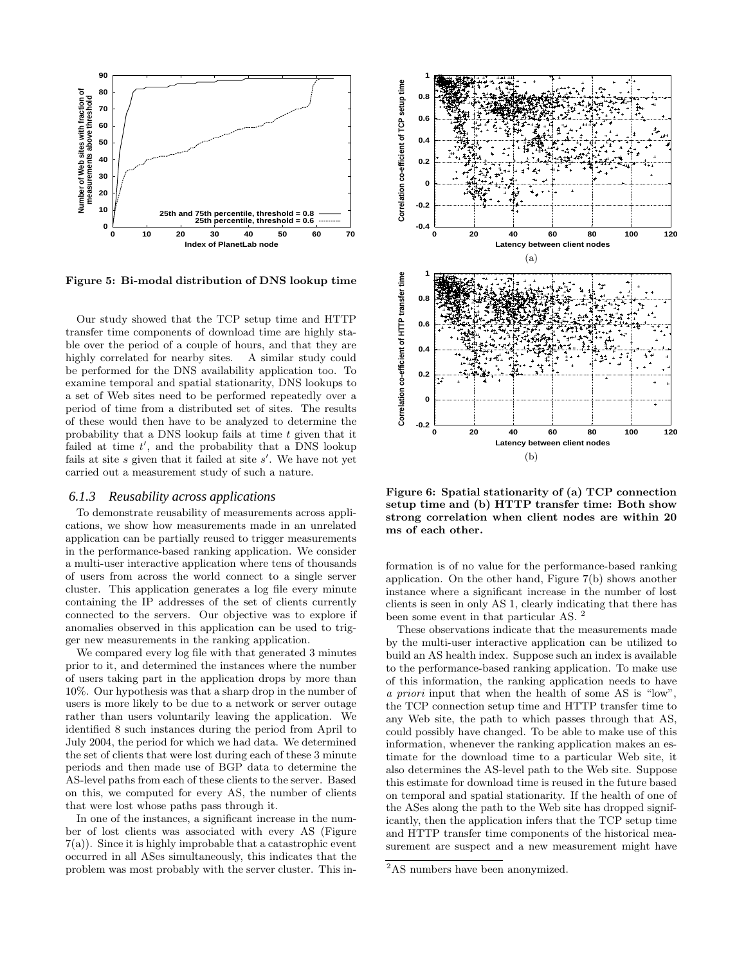

Figure 5: Bi-modal distribution of DNS lookup time

Our study showed that the TCP setup time and HTTP transfer time components of download time are highly stable over the period of a couple of hours, and that they are highly correlated for nearby sites. A similar study could be performed for the DNS availability application too. To examine temporal and spatial stationarity, DNS lookups to a set of Web sites need to be performed repeatedly over a period of time from a distributed set of sites. The results of these would then have to be analyzed to determine the probability that a DNS lookup fails at time  $t$  given that it failed at time  $t'$ , and the probability that a DNS lookup fails at site  $s$  given that it failed at site  $s'$ . We have not yet carried out a measurement study of such a nature.

#### *6.1.3 Reusability across applications*

To demonstrate reusability of measurements across applications, we show how measurements made in an unrelated application can be partially reused to trigger measurements in the performance-based ranking application. We consider a multi-user interactive application where tens of thousands of users from across the world connect to a single server cluster. This application generates a log file every minute containing the IP addresses of the set of clients currently connected to the servers. Our objective was to explore if anomalies observed in this application can be used to trigger new measurements in the ranking application.

We compared every log file with that generated 3 minutes prior to it, and determined the instances where the number of users taking part in the application drops by more than 10%. Our hypothesis was that a sharp drop in the number of users is more likely to be due to a network or server outage rather than users voluntarily leaving the application. We identified 8 such instances during the period from April to July 2004, the period for which we had data. We determined the set of clients that were lost during each of these 3 minute periods and then made use of BGP data to determine the AS-level paths from each of these clients to the server. Based on this, we computed for every AS, the number of clients that were lost whose paths pass through it.

In one of the instances, a significant increase in the number of lost clients was associated with every AS (Figure 7(a)). Since it is highly improbable that a catastrophic event occurred in all ASes simultaneously, this indicates that the problem was most probably with the server cluster. This in-



Figure 6: Spatial stationarity of (a) TCP connection setup time and (b) HTTP transfer time: Both show strong correlation when client nodes are within 20 ms of each other.

formation is of no value for the performance-based ranking application. On the other hand, Figure 7(b) shows another instance where a significant increase in the number of lost clients is seen in only AS 1, clearly indicating that there has been some event in that particular AS.<sup>2</sup>

These observations indicate that the measurements made by the multi-user interactive application can be utilized to build an AS health index. Suppose such an index is available to the performance-based ranking application. To make use of this information, the ranking application needs to have a priori input that when the health of some AS is "low", the TCP connection setup time and HTTP transfer time to any Web site, the path to which passes through that AS, could possibly have changed. To be able to make use of this information, whenever the ranking application makes an estimate for the download time to a particular Web site, it also determines the AS-level path to the Web site. Suppose this estimate for download time is reused in the future based on temporal and spatial stationarity. If the health of one of the ASes along the path to the Web site has dropped significantly, then the application infers that the TCP setup time and HTTP transfer time components of the historical measurement are suspect and a new measurement might have

<sup>&</sup>lt;sup>2</sup>AS numbers have been anonymized.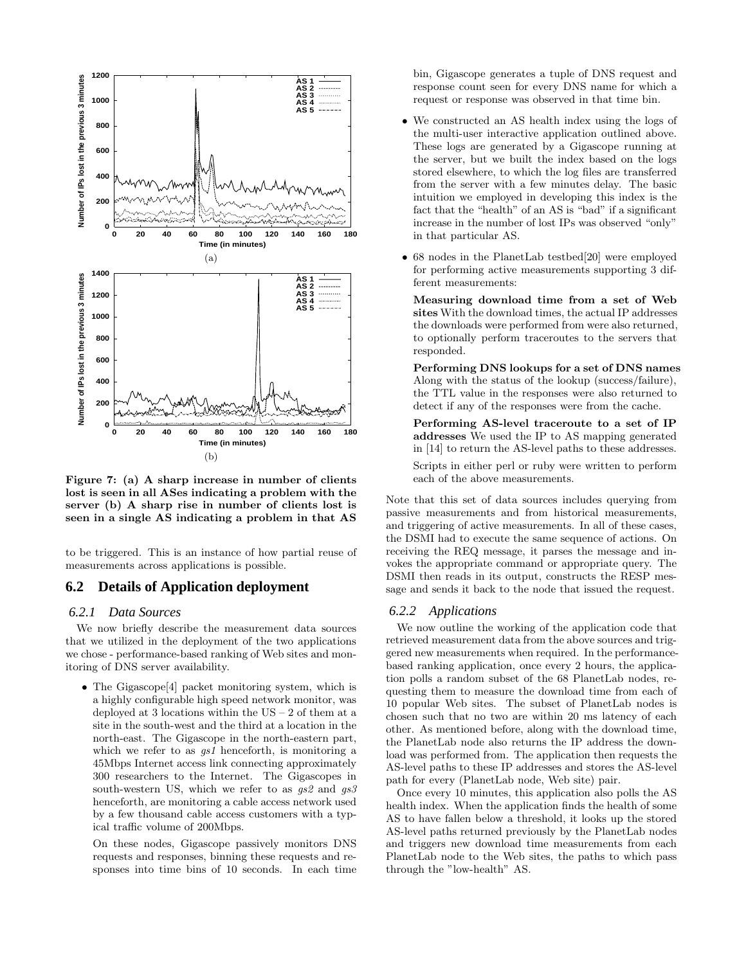

Figure 7: (a) A sharp increase in number of clients lost is seen in all ASes indicating a problem with the server (b) A sharp rise in number of clients lost is seen in a single AS indicating a problem in that AS

to be triggered. This is an instance of how partial reuse of measurements across applications is possible.

## **6.2 Details of Application deployment**

#### *6.2.1 Data Sources*

We now briefly describe the measurement data sources that we utilized in the deployment of the two applications we chose - performance-based ranking of Web sites and monitoring of DNS server availability.

• The Gigascope<sup>[4]</sup> packet monitoring system, which is a highly configurable high speed network monitor, was deployed at 3 locations within the  $US - 2$  of them at a site in the south-west and the third at a location in the north-east. The Gigascope in the north-eastern part, which we refer to as  $gs1$  henceforth, is monitoring a 45Mbps Internet access link connecting approximately 300 researchers to the Internet. The Gigascopes in south-western US, which we refer to as  $gs\$  and  $gs\$ henceforth, are monitoring a cable access network used by a few thousand cable access customers with a typical traffic volume of 200Mbps.

On these nodes, Gigascope passively monitors DNS requests and responses, binning these requests and responses into time bins of 10 seconds. In each time bin, Gigascope generates a tuple of DNS request and response count seen for every DNS name for which a request or response was observed in that time bin.

- We constructed an AS health index using the logs of the multi-user interactive application outlined above. These logs are generated by a Gigascope running at the server, but we built the index based on the logs stored elsewhere, to which the log files are transferred from the server with a few minutes delay. The basic intuition we employed in developing this index is the fact that the "health" of an AS is "bad" if a significant increase in the number of lost IPs was observed "only" in that particular AS.
- 68 nodes in the PlanetLab testbed[20] were employed for performing active measurements supporting 3 different measurements:

Measuring download time from a set of Web sites With the download times, the actual IP addresses the downloads were performed from were also returned, to optionally perform traceroutes to the servers that responded.

Performing DNS lookups for a set of DNS names Along with the status of the lookup (success/failure), the TTL value in the responses were also returned to detect if any of the responses were from the cache.

Performing AS-level traceroute to a set of IP addresses We used the IP to AS mapping generated in [14] to return the AS-level paths to these addresses. Scripts in either perl or ruby were written to perform each of the above measurements.

Note that this set of data sources includes querying from passive measurements and from historical measurements, and triggering of active measurements. In all of these cases, the DSMI had to execute the same sequence of actions. On receiving the REQ message, it parses the message and invokes the appropriate command or appropriate query. The DSMI then reads in its output, constructs the RESP message and sends it back to the node that issued the request.

#### *6.2.2 Applications*

We now outline the working of the application code that retrieved measurement data from the above sources and triggered new measurements when required. In the performancebased ranking application, once every 2 hours, the application polls a random subset of the 68 PlanetLab nodes, requesting them to measure the download time from each of 10 popular Web sites. The subset of PlanetLab nodes is chosen such that no two are within 20 ms latency of each other. As mentioned before, along with the download time, the PlanetLab node also returns the IP address the download was performed from. The application then requests the AS-level paths to these IP addresses and stores the AS-level path for every (PlanetLab node, Web site) pair.

Once every 10 minutes, this application also polls the AS health index. When the application finds the health of some AS to have fallen below a threshold, it looks up the stored AS-level paths returned previously by the PlanetLab nodes and triggers new download time measurements from each PlanetLab node to the Web sites, the paths to which pass through the "low-health" AS.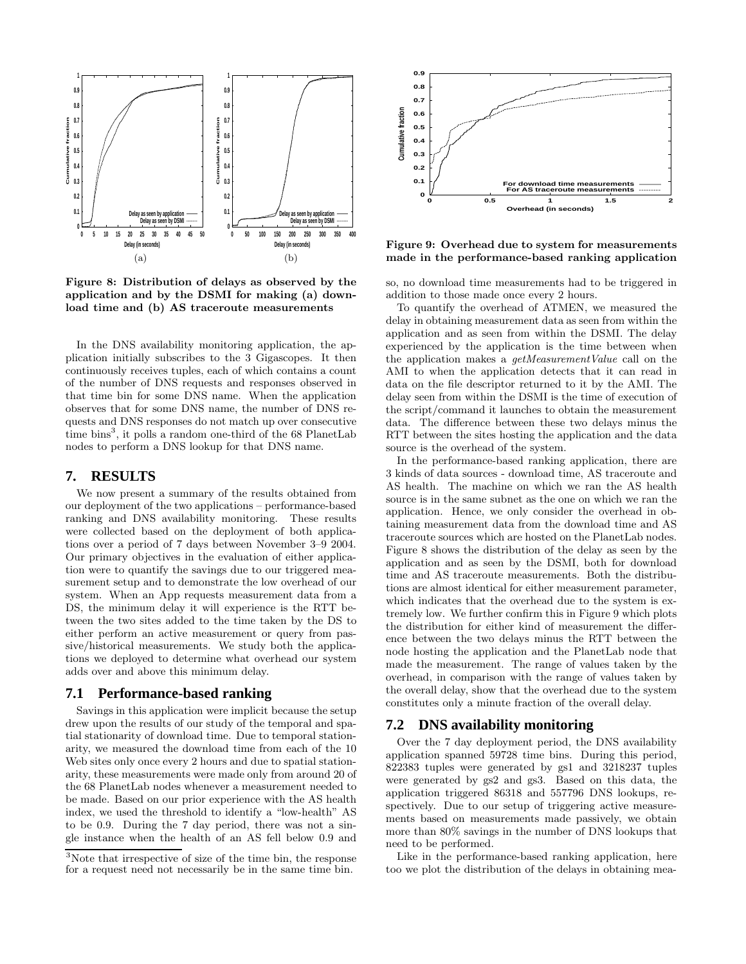

Figure 8: Distribution of delays as observed by the application and by the DSMI for making (a) download time and (b) AS traceroute measurements

In the DNS availability monitoring application, the application initially subscribes to the 3 Gigascopes. It then continuously receives tuples, each of which contains a count of the number of DNS requests and responses observed in that time bin for some DNS name. When the application observes that for some DNS name, the number of DNS requests and DNS responses do not match up over consecutive time bins<sup>3</sup>, it polls a random one-third of the 68 PlanetLab nodes to perform a DNS lookup for that DNS name.

# **7. RESULTS**

We now present a summary of the results obtained from our deployment of the two applications – performance-based ranking and DNS availability monitoring. These results were collected based on the deployment of both applications over a period of 7 days between November 3–9 2004. Our primary objectives in the evaluation of either application were to quantify the savings due to our triggered measurement setup and to demonstrate the low overhead of our system. When an App requests measurement data from a DS, the minimum delay it will experience is the RTT between the two sites added to the time taken by the DS to either perform an active measurement or query from passive/historical measurements. We study both the applications we deployed to determine what overhead our system adds over and above this minimum delay.

#### **7.1 Performance-based ranking**

Savings in this application were implicit because the setup drew upon the results of our study of the temporal and spatial stationarity of download time. Due to temporal stationarity, we measured the download time from each of the 10 Web sites only once every 2 hours and due to spatial stationarity, these measurements were made only from around 20 of the 68 PlanetLab nodes whenever a measurement needed to be made. Based on our prior experience with the AS health index, we used the threshold to identify a "low-health" AS to be 0.9. During the 7 day period, there was not a single instance when the health of an AS fell below 0.9 and



Figure 9: Overhead due to system for measurements made in the performance-based ranking application

so, no download time measurements had to be triggered in addition to those made once every 2 hours.

To quantify the overhead of ATMEN, we measured the delay in obtaining measurement data as seen from within the application and as seen from within the DSMI. The delay experienced by the application is the time between when the application makes a getMeasurementValue call on the AMI to when the application detects that it can read in data on the file descriptor returned to it by the AMI. The delay seen from within the DSMI is the time of execution of the script/command it launches to obtain the measurement data. The difference between these two delays minus the RTT between the sites hosting the application and the data source is the overhead of the system.

In the performance-based ranking application, there are 3 kinds of data sources - download time, AS traceroute and AS health. The machine on which we ran the AS health source is in the same subnet as the one on which we ran the application. Hence, we only consider the overhead in obtaining measurement data from the download time and AS traceroute sources which are hosted on the PlanetLab nodes. Figure 8 shows the distribution of the delay as seen by the application and as seen by the DSMI, both for download time and AS traceroute measurements. Both the distributions are almost identical for either measurement parameter, which indicates that the overhead due to the system is extremely low. We further confirm this in Figure 9 which plots the distribution for either kind of measurement the difference between the two delays minus the RTT between the node hosting the application and the PlanetLab node that made the measurement. The range of values taken by the overhead, in comparison with the range of values taken by the overall delay, show that the overhead due to the system constitutes only a minute fraction of the overall delay.

#### **7.2 DNS availability monitoring**

Over the 7 day deployment period, the DNS availability application spanned 59728 time bins. During this period, 822383 tuples were generated by gs1 and 3218237 tuples were generated by gs2 and gs3. Based on this data, the application triggered 86318 and 557796 DNS lookups, respectively. Due to our setup of triggering active measurements based on measurements made passively, we obtain more than 80% savings in the number of DNS lookups that need to be performed.

Like in the performance-based ranking application, here too we plot the distribution of the delays in obtaining mea-

<sup>3</sup>Note that irrespective of size of the time bin, the response for a request need not necessarily be in the same time bin.